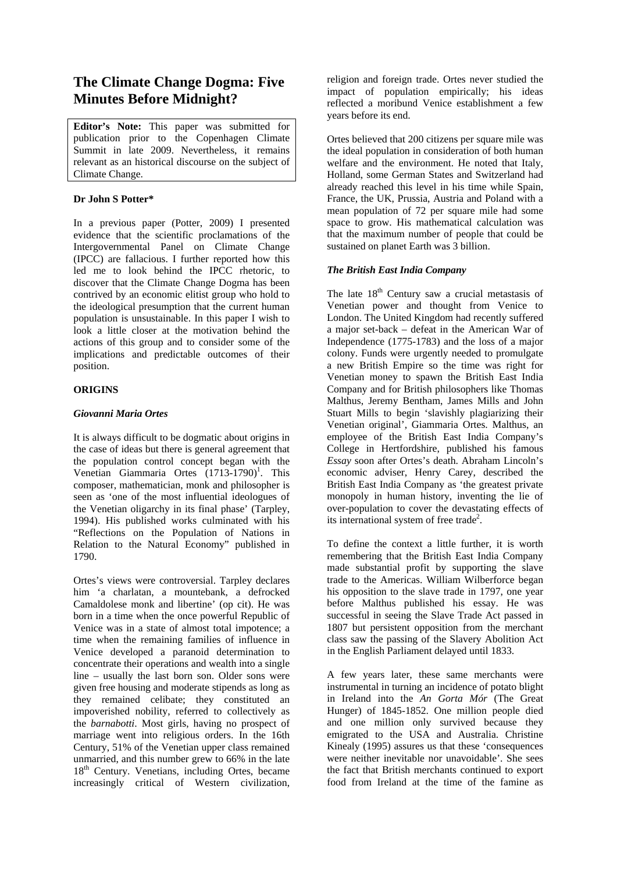# **The Climate Change Dogma: Five Minutes Before Midnight?**

**Editor's Note:** This paper was submitted for publication prior to the Copenhagen Climate Summit in late 2009. Nevertheless, it remains relevant as an historical discourse on the subject of Climate Change.

# **Dr John S Potter\***

In a previous paper (Potter, 2009) I presented evidence that the scientific proclamations of the Intergovernmental Panel on Climate Change (IPCC) are fallacious. I further reported how this led me to look behind the IPCC rhetoric, to discover that the Climate Change Dogma has been contrived by an economic elitist group who hold to the ideological presumption that the current human population is unsustainable. In this paper I wish to look a little closer at the motivation behind the actions of this group and to consider some of the implications and predictable outcomes of their position.

# **ORIGINS**

# *Giovanni Maria Ortes*

It is always difficult to be dogmatic about origins in the case of ideas but there is general agreement that the population control concept began with the Venetian Giammaria Ortes  $(1713-1790)$ <sup>1</sup>. This composer, mathematician, monk and philosopher is seen as 'one of the most influential ideologues of the Venetian oligarchy in its final phase' (Tarpley, 1994). His published works culminated with his "Reflections on the Population of Nations in Relation to the Natural Economy" published in 1790.

Ortes's views were controversial. Tarpley declares him 'a charlatan, a mountebank, a defrocked Camaldolese monk and libertine' (op cit). He was born in a time when the once powerful Republic of Venice was in a state of almost total impotence; a time when the remaining families of influence in Venice developed a paranoid determination to concentrate their operations and wealth into a single line – usually the last born son. Older sons were given free housing and moderate stipends as long as they remained celibate; they constituted an impoverished nobility, referred to collectively as the *barnabotti*. Most girls, having no prospect of marriage went into religious orders. In the 16th Century, 51% of the Venetian upper class remained unmarried, and this number grew to 66% in the late 18<sup>th</sup> Century. Venetians, including Ortes, became increasingly critical of Western civilization, religion and foreign trade. Ortes never studied the impact of population empirically; his ideas reflected a moribund Venice establishment a few years before its end.

Ortes believed that 200 citizens per square mile was the ideal population in consideration of both human welfare and the environment. He noted that Italy, Holland, some German States and Switzerland had already reached this level in his time while Spain, France, the UK, Prussia, Austria and Poland with a mean population of 72 per square mile had some space to grow. His mathematical calculation was that the maximum number of people that could be sustained on planet Earth was 3 billion.

# *The British East India Company*

The late  $18<sup>th</sup>$  Century saw a crucial metastasis of Venetian power and thought from Venice to London. The United Kingdom had recently suffered a major set-back – defeat in the American War of Independence (1775-1783) and the loss of a major colony. Funds were urgently needed to promulgate a new British Empire so the time was right for Venetian money to spawn the British East India Company and for British philosophers like Thomas Malthus, Jeremy Bentham, James Mills and John Stuart Mills to begin 'slavishly plagiarizing their Venetian original', Giammaria Ortes. Malthus, an employee of the British East India Company's College in Hertfordshire, published his famous *Essay* soon after Ortes's death. Abraham Lincoln's economic adviser, Henry Carey, described the British East India Company as 'the greatest private monopoly in human history, inventing the lie of over-population to cover the devastating effects of its international system of free trade<sup>2</sup>.

To define the context a little further, it is worth remembering that the British East India Company made substantial profit by supporting the slave trade to the Americas. William Wilberforce began his opposition to the slave trade in 1797, one year before Malthus published his essay. He was successful in seeing the Slave Trade Act passed in 1807 but persistent opposition from the merchant class saw the passing of the Slavery Abolition Act in the English Parliament delayed until 1833.

A few years later, these same merchants were instrumental in turning an incidence of potato blight in Ireland into the *An Gorta Mór* (The Great Hunger) of 1845-1852. One million people died and one million only survived because they emigrated to the USA and Australia. Christine Kinealy (1995) assures us that these 'consequences were neither inevitable nor unavoidable'. She sees the fact that British merchants continued to export food from Ireland at the time of the famine as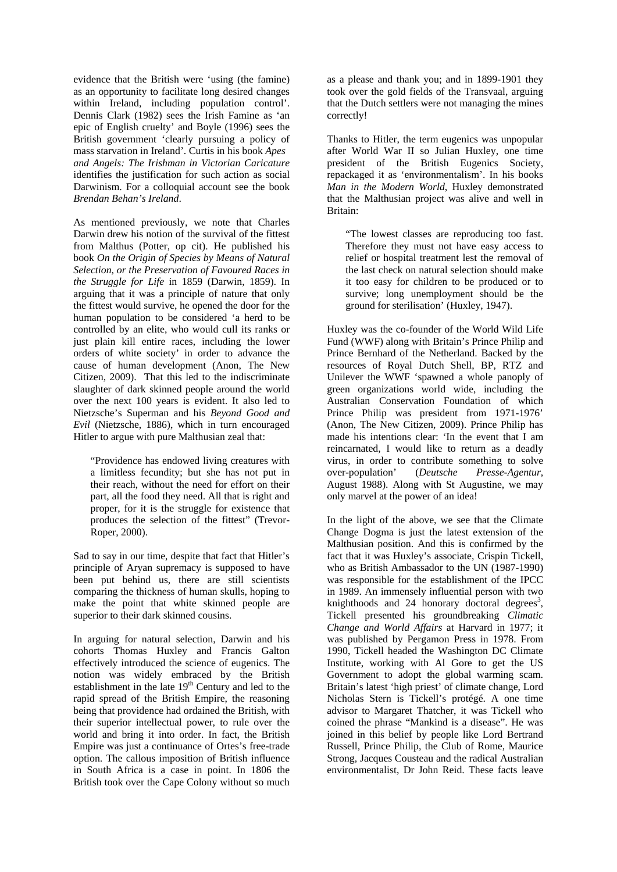evidence that the British were 'using (the famine) as an opportunity to facilitate long desired changes within Ireland, including population control'. Dennis Clark (1982) sees the Irish Famine as 'an epic of English cruelty' and Boyle (1996) sees the British government 'clearly pursuing a policy of mass starvation in Ireland'. Curtis in his book *Apes and Angels: The Irishman in Victorian Caricature* identifies the justification for such action as social Darwinism. For a colloquial account see the book *Brendan Behan's Ireland*.

As mentioned previously, we note that Charles Darwin drew his notion of the survival of the fittest from Malthus (Potter, op cit). He published his book *On the Origin of Species by Means of Natural Selection, or the Preservation of Favoured Races in the Struggle for Life* in 1859 (Darwin, 1859). In arguing that it was a principle of nature that only the fittest would survive, he opened the door for the human population to be considered 'a herd to be controlled by an elite, who would cull its ranks or just plain kill entire races, including the lower orders of white society' in order to advance the cause of human development (Anon, The New Citizen, 2009). That this led to the indiscriminate slaughter of dark skinned people around the world over the next 100 years is evident. It also led to Nietzsche's Superman and his *Beyond Good and Evil* (Nietzsche, 1886), which in turn encouraged Hitler to argue with pure Malthusian zeal that:

"Providence has endowed living creatures with a limitless fecundity; but she has not put in their reach, without the need for effort on their part, all the food they need. All that is right and proper, for it is the struggle for existence that produces the selection of the fittest" (Trevor-Roper, 2000).

Sad to say in our time, despite that fact that Hitler's principle of Aryan supremacy is supposed to have been put behind us, there are still scientists comparing the thickness of human skulls, hoping to make the point that white skinned people are superior to their dark skinned cousins.

In arguing for natural selection, Darwin and his cohorts Thomas Huxley and Francis Galton effectively introduced the science of eugenics. The notion was widely embraced by the British establishment in the late 19<sup>th</sup> Century and led to the rapid spread of the British Empire, the reasoning being that providence had ordained the British, with their superior intellectual power, to rule over the world and bring it into order. In fact, the British Empire was just a continuance of Ortes's free-trade option. The callous imposition of British influence in South Africa is a case in point. In 1806 the British took over the Cape Colony without so much

as a please and thank you; and in 1899-1901 they took over the gold fields of the Transvaal, arguing that the Dutch settlers were not managing the mines correctly!

Thanks to Hitler, the term eugenics was unpopular after World War II so Julian Huxley, one time president of the British Eugenics Society, repackaged it as 'environmentalism'. In his books *Man in the Modern World*, Huxley demonstrated that the Malthusian project was alive and well in Britain:

"The lowest classes are reproducing too fast. Therefore they must not have easy access to relief or hospital treatment lest the removal of the last check on natural selection should make it too easy for children to be produced or to survive; long unemployment should be the ground for sterilisation' (Huxley, 1947).

Huxley was the co-founder of the World Wild Life Fund (WWF) along with Britain's Prince Philip and Prince Bernhard of the Netherland. Backed by the resources of Royal Dutch Shell, BP, RTZ and Unilever the WWF 'spawned a whole panoply of green organizations world wide, including the Australian Conservation Foundation of which Prince Philip was president from 1971-1976' (Anon, The New Citizen, 2009). Prince Philip has made his intentions clear: 'In the event that I am reincarnated, I would like to return as a deadly virus, in order to contribute something to solve over-population' (*Deutsche Presse-Agentur*, August 1988). Along with St Augustine, we may only marvel at the power of an idea!

In the light of the above, we see that the Climate Change Dogma is just the latest extension of the Malthusian position. And this is confirmed by the fact that it was Huxley's associate, Crispin Tickell, who as British Ambassador to the UN (1987-1990) was responsible for the establishment of the IPCC in 1989. An immensely influential person with two knighthoods and  $24$  honorary doctoral degrees<sup>3</sup>, Tickell presented his groundbreaking *Climatic Change and World Affairs* at Harvard in 1977; it was published by Pergamon Press in 1978. From 1990, Tickell headed the Washington DC Climate Institute, working with Al Gore to get the US Government to adopt the global warming scam. Britain's latest 'high priest' of climate change, Lord Nicholas Stern is Tickell's protégé. A one time advisor to Margaret Thatcher, it was Tickell who coined the phrase "Mankind is a disease". He was joined in this belief by people like Lord Bertrand Russell, Prince Philip, the Club of Rome, Maurice Strong, Jacques Cousteau and the radical Australian environmentalist, Dr John Reid. These facts leave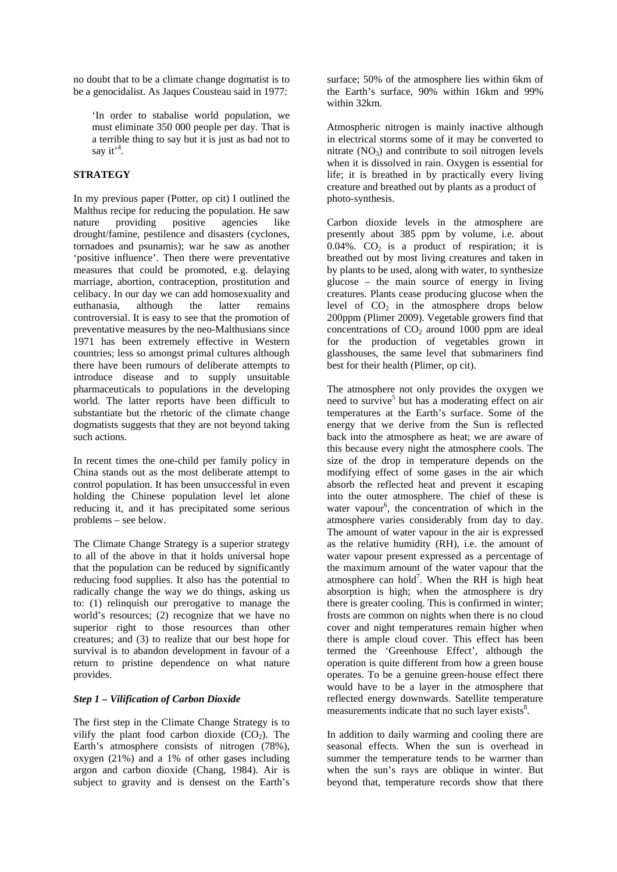no doubt that to be a climate change dogmatist is to be a genocidalist. As Jaques Cousteau said in 1977:

'In order to stabalise world population, we must eliminate 350 000 people per day. That is a terrible thing to say but it is just as bad not to say it<sup> $4$ </sup>.

### **STRATEGY**

In my previous paper (Potter, op cit) I outlined the Malthus recipe for reducing the population. He saw<br>nature providing positive agencies like nature providing positive agencies like drought/famine, pestilence and disasters (cyclones, tornadoes and psunamis); war he saw as another 'positive influence'. Then there were preventative measures that could be promoted, e.g. delaying marriage, abortion, contraception, prostitution and celibacy. In our day we can add homosexuality and euthanasia, although the latter remains controversial. It is easy to see that the promotion of preventative measures by the neo-Malthusians since 1971 has been extremely effective in Western countries; less so amongst primal cultures although there have been rumours of deliberate attempts to introduce disease and to supply unsuitable pharmaceuticals to populations in the developing world. The latter reports have been difficult to substantiate but the rhetoric of the climate change dogmatists suggests that they are not beyond taking such actions.

In recent times the one-child per family policy in China stands out as the most deliberate attempt to control population. It has been unsuccessful in even holding the Chinese population level let alone reducing it, and it has precipitated some serious problems – see below.

The Climate Change Strategy is a superior strategy to all of the above in that it holds universal hope that the population can be reduced by significantly reducing food supplies. It also has the potential to radically change the way we do things, asking us to: (1) relinquish our prerogative to manage the world's resources; (2) recognize that we have no superior right to those resources than other creatures; and (3) to realize that our best hope for survival is to abandon development in favour of a return to pristine dependence on what nature provides.

### *Step 1 – Vilification of Carbon Dioxide*

The first step in the Climate Change Strategy is to vilify the plant food carbon dioxide  $(CO<sub>2</sub>)$ . The Earth's atmosphere consists of nitrogen (78%), oxygen (21%) and a 1% of other gases including argon and carbon dioxide (Chang, 1984). Air is subject to gravity and is densest on the Earth's

surface; 50% of the atmosphere lies within 6km of the Earth's surface, 90% within 16km and 99% within 32km.

Atmospheric nitrogen is mainly inactive although in electrical storms some of it may be converted to nitrate  $(NO_3)$  and contribute to soil nitrogen levels when it is dissolved in rain. Oxygen is essential for life; it is breathed in by practically every living creature and breathed out by plants as a product of photo-synthesis.

Carbon dioxide levels in the atmosphere are presently about 385 ppm by volume, i.e. about 0.04%.  $CO<sub>2</sub>$  is a product of respiration; it is breathed out by most living creatures and taken in by plants to be used, along with water, to synthesize glucose – the main source of energy in living creatures. Plants cease producing glucose when the level of  $CO<sub>2</sub>$  in the atmosphere drops below 200ppm (Plimer 2009). Vegetable growers find that concentrations of  $CO<sub>2</sub>$  around 1000 ppm are ideal for the production of vegetables grown in glasshouses, the same level that submariners find best for their health (Plimer, op cit).

The atmosphere not only provides the oxygen we need to survive<sup>5</sup> but has a moderating effect on air temperatures at the Earth's surface. Some of the energy that we derive from the Sun is reflected back into the atmosphere as heat; we are aware of this because every night the atmosphere cools. The size of the drop in temperature depends on the modifying effect of some gases in the air which absorb the reflected heat and prevent it escaping into the outer atmosphere. The chief of these is water vapour<sup>6</sup>, the concentration of which in the atmosphere varies considerably from day to day. The amount of water vapour in the air is expressed as the relative humidity (RH), i.e. the amount of water vapour present expressed as a percentage of the maximum amount of the water vapour that the atmosphere can hold<sup>7</sup>. When the RH is high heat absorption is high; when the atmosphere is dry there is greater cooling. This is confirmed in winter; frosts are common on nights when there is no cloud cover and night temperatures remain higher when there is ample cloud cover. This effect has been termed the 'Greenhouse Effect', although the operation is quite different from how a green house operates. To be a genuine green-house effect there would have to be a layer in the atmosphere that reflected energy downwards. Satellite temperature measurements indicate that no such layer exists<sup>8</sup>.

In addition to daily warming and cooling there are seasonal effects. When the sun is overhead in summer the temperature tends to be warmer than when the sun's rays are oblique in winter. But beyond that, temperature records show that there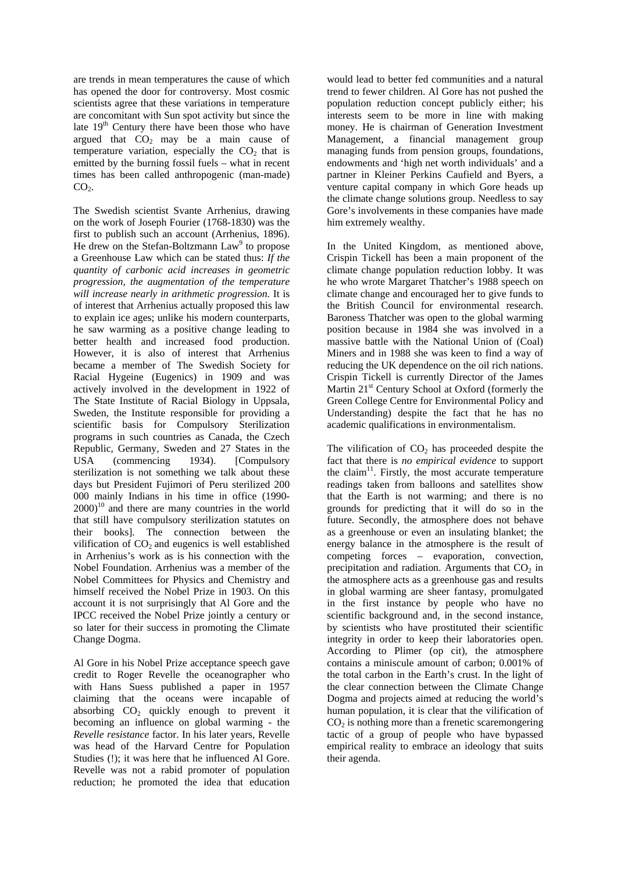are trends in mean temperatures the cause of which has opened the door for controversy. Most cosmic scientists agree that these variations in temperature are concomitant with Sun spot activity but since the late  $19<sup>th</sup>$  Century there have been those who have argued that  $CO<sub>2</sub>$  may be a main cause of temperature variation, especially the  $CO<sub>2</sub>$  that is emitted by the burning fossil fuels – what in recent times has been called anthropogenic (man-made)  $CO<sub>2</sub>$ .

The Swedish scientist Svante Arrhenius, drawing on the work of Joseph Fourier (1768-1830) was the first to publish such an account (Arrhenius, 1896). He drew on the Stefan-Boltzmann  $Law<sup>9</sup>$  to propose a Greenhouse Law which can be stated thus: *If the quantity of carbonic acid increases in geometric progression, the augmentation of the temperature will increase nearly in arithmetic progression.* It is of interest that Arrhenius actually proposed this law to explain ice ages; unlike his modern counterparts, he saw warming as a positive change leading to better health and increased food production. However, it is also of interest that Arrhenius became a member of The Swedish Society for Racial Hygeine (Eugenics) in 1909 and was actively involved in the development in 1922 of The State Institute of Racial Biology in Uppsala, Sweden, the Institute responsible for providing a scientific basis for Compulsory Sterilization programs in such countries as Canada, the Czech Republic, Germany, Sweden and 27 States in the USA (commencing 1934). [Compulsory sterilization is not something we talk about these days but President Fujimori of Peru sterilized 200 000 mainly Indians in his time in office (1990-  $2000$ <sup>10</sup> and there are many countries in the world that still have compulsory sterilization statutes on their books]. The connection between the vilification of  $CO<sub>2</sub>$  and eugenics is well established in Arrhenius's work as is his connection with the Nobel Foundation. Arrhenius was a member of the Nobel Committees for Physics and Chemistry and himself received the Nobel Prize in 1903. On this account it is not surprisingly that Al Gore and the IPCC received the Nobel Prize jointly a century or so later for their success in promoting the Climate Change Dogma.

Al Gore in his Nobel Prize acceptance speech gave credit to Roger Revelle the oceanographer who with Hans Suess published a paper in 1957 claiming that the oceans were incapable of absorbing  $CO<sub>2</sub>$  quickly enough to prevent it becoming an influence on global warming - the *Revelle resistance* factor. In his later years, Revelle was head of the Harvard Centre for Population Studies (!); it was here that he influenced Al Gore. Revelle was not a rabid promoter of population reduction; he promoted the idea that education

would lead to better fed communities and a natural trend to fewer children. Al Gore has not pushed the population reduction concept publicly either; his interests seem to be more in line with making money. He is chairman of Generation Investment Management, a financial management group managing funds from pension groups, foundations, endowments and 'high net worth individuals' and a partner in Kleiner Perkins Caufield and Byers, a venture capital company in which Gore heads up the climate change solutions group. Needless to say Gore's involvements in these companies have made him extremely wealthy.

In the United Kingdom, as mentioned above, Crispin Tickell has been a main proponent of the climate change population reduction lobby. It was he who wrote Margaret Thatcher's 1988 speech on climate change and encouraged her to give funds to the British Council for environmental research. Baroness Thatcher was open to the global warming position because in 1984 she was involved in a massive battle with the National Union of (Coal) Miners and in 1988 she was keen to find a way of reducing the UK dependence on the oil rich nations. Crispin Tickell is currently Director of the James Martin  $21<sup>st</sup>$  Century School at Oxford (formerly the Green College Centre for Environmental Policy and Understanding) despite the fact that he has no academic qualifications in environmentalism.

The vilification of  $CO<sub>2</sub>$  has proceeded despite the fact that there is *no empirical evidence* to support the claim<sup>11</sup>. Firstly, the most accurate temperature readings taken from balloons and satellites show that the Earth is not warming; and there is no grounds for predicting that it will do so in the future. Secondly, the atmosphere does not behave as a greenhouse or even an insulating blanket; the energy balance in the atmosphere is the result of competing forces – evaporation, convection, precipitation and radiation. Arguments that  $CO<sub>2</sub>$  in the atmosphere acts as a greenhouse gas and results in global warming are sheer fantasy, promulgated in the first instance by people who have no scientific background and, in the second instance, by scientists who have prostituted their scientific integrity in order to keep their laboratories open. According to Plimer (op cit), the atmosphere contains a miniscule amount of carbon; 0.001% of the total carbon in the Earth's crust. In the light of the clear connection between the Climate Change Dogma and projects aimed at reducing the world's human population, it is clear that the vilification of  $CO<sub>2</sub>$  is nothing more than a frenetic scaremongering tactic of a group of people who have bypassed empirical reality to embrace an ideology that suits their agenda.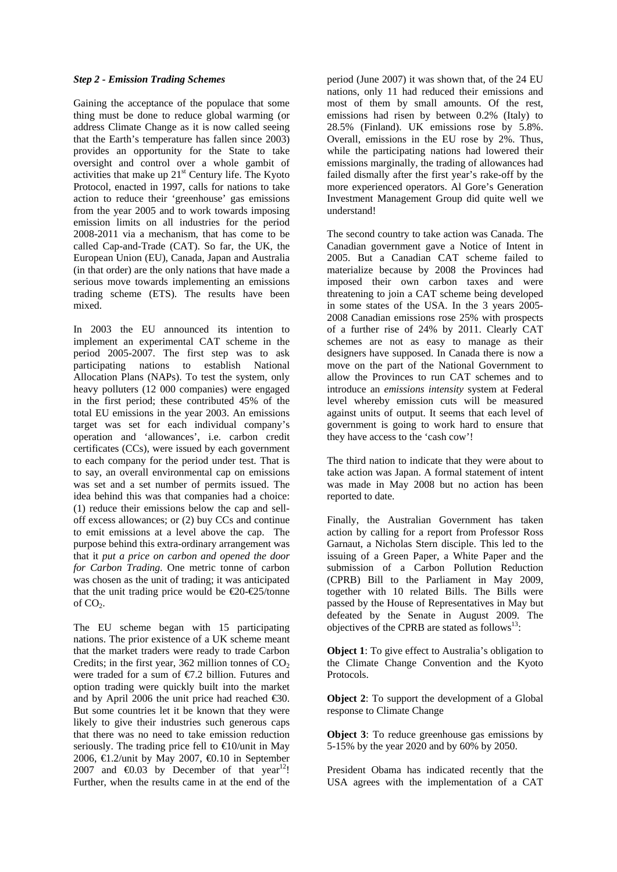#### *Step 2 - Emission Trading Schemes*

Gaining the acceptance of the populace that some thing must be done to reduce global warming (or address Climate Change as it is now called seeing that the Earth's temperature has fallen since 2003) provides an opportunity for the State to take oversight and control over a whole gambit of activities that make up 21<sup>st</sup> Century life. The Kyoto Protocol, enacted in 1997, calls for nations to take action to reduce their 'greenhouse' gas emissions from the year 2005 and to work towards imposing emission limits on all industries for the period 2008-2011 via a mechanism, that has come to be called Cap-and-Trade (CAT). So far, the UK, the European Union (EU), Canada, Japan and Australia (in that order) are the only nations that have made a serious move towards implementing an emissions trading scheme (ETS). The results have been mixed.

In 2003 the EU announced its intention to implement an experimental CAT scheme in the period 2005-2007. The first step was to ask participating nations to establish National Allocation Plans (NAPs). To test the system, only heavy polluters (12 000 companies) were engaged in the first period; these contributed 45% of the total EU emissions in the year 2003. An emissions target was set for each individual company's operation and 'allowances', i.e. carbon credit certificates (CCs), were issued by each government to each company for the period under test. That is to say, an overall environmental cap on emissions was set and a set number of permits issued. The idea behind this was that companies had a choice: (1) reduce their emissions below the cap and selloff excess allowances; or (2) buy CCs and continue to emit emissions at a level above the cap. The purpose behind this extra-ordinary arrangement was that it *put a price on carbon and opened the door for Carbon Trading*. One metric tonne of carbon was chosen as the unit of trading; it was anticipated that the unit trading price would be  $\epsilon$ 20- $\epsilon$ 25/tonne of  $CO<sub>2</sub>$ .

The EU scheme began with 15 participating nations. The prior existence of a UK scheme meant that the market traders were ready to trade Carbon Credits; in the first year, 362 million tonnes of  $CO<sub>2</sub>$ were traded for a sum of €7.2 billion. Futures and option trading were quickly built into the market and by April 2006 the unit price had reached  $\epsilon$ 30. But some countries let it be known that they were likely to give their industries such generous caps that there was no need to take emission reduction seriously. The trading price fell to  $\infty$ 10/unit in May 2006,  $\triangleleft$  2/unit by May 2007,  $\triangleleft$  0.10 in September 2007 and  $\epsilon 0.03$  by December of that year<sup>12</sup>! Further, when the results came in at the end of the

period (June 2007) it was shown that, of the 24 EU nations, only 11 had reduced their emissions and most of them by small amounts. Of the rest, emissions had risen by between 0.2% (Italy) to 28.5% (Finland). UK emissions rose by 5.8%. Overall, emissions in the EU rose by 2%. Thus, while the participating nations had lowered their emissions marginally, the trading of allowances had failed dismally after the first year's rake-off by the more experienced operators. Al Gore's Generation Investment Management Group did quite well we understand!

The second country to take action was Canada. The Canadian government gave a Notice of Intent in 2005. But a Canadian CAT scheme failed to materialize because by 2008 the Provinces had imposed their own carbon taxes and were threatening to join a CAT scheme being developed in some states of the USA. In the 3 years 2005- 2008 Canadian emissions rose 25% with prospects of a further rise of 24% by 2011. Clearly CAT schemes are not as easy to manage as their designers have supposed. In Canada there is now a move on the part of the National Government to allow the Provinces to run CAT schemes and to introduce an *emissions intensity* system at Federal level whereby emission cuts will be measured against units of output. It seems that each level of government is going to work hard to ensure that they have access to the 'cash cow'!

The third nation to indicate that they were about to take action was Japan. A formal statement of intent was made in May 2008 but no action has been reported to date.

Finally, the Australian Government has taken action by calling for a report from Professor Ross Garnaut, a Nicholas Stern disciple. This led to the issuing of a Green Paper, a White Paper and the submission of a Carbon Pollution Reduction (CPRB) Bill to the Parliament in May 2009, together with 10 related Bills. The Bills were passed by the House of Representatives in May but defeated by the Senate in August 2009. The objectives of the CPRB are stated as follows<sup>13</sup>:

**Object 1**: To give effect to Australia's obligation to the Climate Change Convention and the Kyoto Protocols.

**Object 2:** To support the development of a Global response to Climate Change

**Object 3**: To reduce greenhouse gas emissions by 5-15% by the year 2020 and by 60% by 2050.

President Obama has indicated recently that the USA agrees with the implementation of a CAT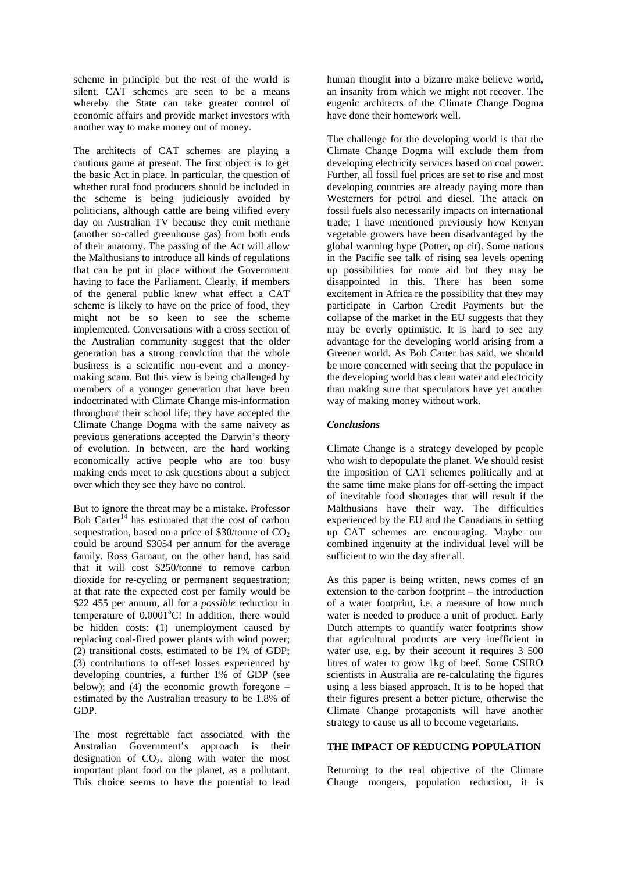scheme in principle but the rest of the world is silent. CAT schemes are seen to be a means whereby the State can take greater control of economic affairs and provide market investors with another way to make money out of money.

The architects of CAT schemes are playing a cautious game at present. The first object is to get the basic Act in place. In particular, the question of whether rural food producers should be included in the scheme is being judiciously avoided by politicians, although cattle are being vilified every day on Australian TV because they emit methane (another so-called greenhouse gas) from both ends of their anatomy. The passing of the Act will allow the Malthusians to introduce all kinds of regulations that can be put in place without the Government having to face the Parliament. Clearly, if members of the general public knew what effect a CAT scheme is likely to have on the price of food, they might not be so keen to see the scheme implemented. Conversations with a cross section of the Australian community suggest that the older generation has a strong conviction that the whole business is a scientific non-event and a moneymaking scam. But this view is being challenged by members of a younger generation that have been indoctrinated with Climate Change mis-information throughout their school life; they have accepted the Climate Change Dogma with the same naivety as previous generations accepted the Darwin's theory of evolution. In between, are the hard working economically active people who are too busy making ends meet to ask questions about a subject over which they see they have no control.

But to ignore the threat may be a mistake. Professor Bob Carter<sup>14</sup> has estimated that the cost of carbon sequestration, based on a price of  $$30/tonne$  of  $CO<sub>2</sub>$ could be around \$3054 per annum for the average family. Ross Garnaut, on the other hand, has said that it will cost \$250/tonne to remove carbon dioxide for re-cycling or permanent sequestration; at that rate the expected cost per family would be \$22 455 per annum, all for a *possible* reduction in temperature of 0.0001°C! In addition, there would be hidden costs: (1) unemployment caused by replacing coal-fired power plants with wind power; (2) transitional costs, estimated to be 1% of GDP; (3) contributions to off-set losses experienced by developing countries, a further 1% of GDP (see below); and (4) the economic growth foregone – estimated by the Australian treasury to be 1.8% of GDP.

The most regrettable fact associated with the Australian Government's approach is their designation of  $CO<sub>2</sub>$ , along with water the most important plant food on the planet, as a pollutant. This choice seems to have the potential to lead human thought into a bizarre make believe world, an insanity from which we might not recover. The eugenic architects of the Climate Change Dogma have done their homework well.

The challenge for the developing world is that the Climate Change Dogma will exclude them from developing electricity services based on coal power. Further, all fossil fuel prices are set to rise and most developing countries are already paying more than Westerners for petrol and diesel. The attack on fossil fuels also necessarily impacts on international trade; I have mentioned previously how Kenyan vegetable growers have been disadvantaged by the global warming hype (Potter, op cit). Some nations in the Pacific see talk of rising sea levels opening up possibilities for more aid but they may be disappointed in this. There has been some excitement in Africa re the possibility that they may participate in Carbon Credit Payments but the collapse of the market in the EU suggests that they may be overly optimistic. It is hard to see any advantage for the developing world arising from a Greener world. As Bob Carter has said, we should be more concerned with seeing that the populace in the developing world has clean water and electricity than making sure that speculators have yet another way of making money without work.

#### *Conclusions*

Climate Change is a strategy developed by people who wish to depopulate the planet. We should resist the imposition of CAT schemes politically and at the same time make plans for off-setting the impact of inevitable food shortages that will result if the Malthusians have their way. The difficulties experienced by the EU and the Canadians in setting up CAT schemes are encouraging. Maybe our combined ingenuity at the individual level will be sufficient to win the day after all.

As this paper is being written, news comes of an extension to the carbon footprint – the introduction of a water footprint, i.e. a measure of how much water is needed to produce a unit of product. Early Dutch attempts to quantify water footprints show that agricultural products are very inefficient in water use, e.g. by their account it requires 3 500 litres of water to grow 1kg of beef. Some CSIRO scientists in Australia are re-calculating the figures using a less biased approach. It is to be hoped that their figures present a better picture, otherwise the Climate Change protagonists will have another strategy to cause us all to become vegetarians.

#### **THE IMPACT OF REDUCING POPULATION**

Returning to the real objective of the Climate Change mongers, population reduction, it is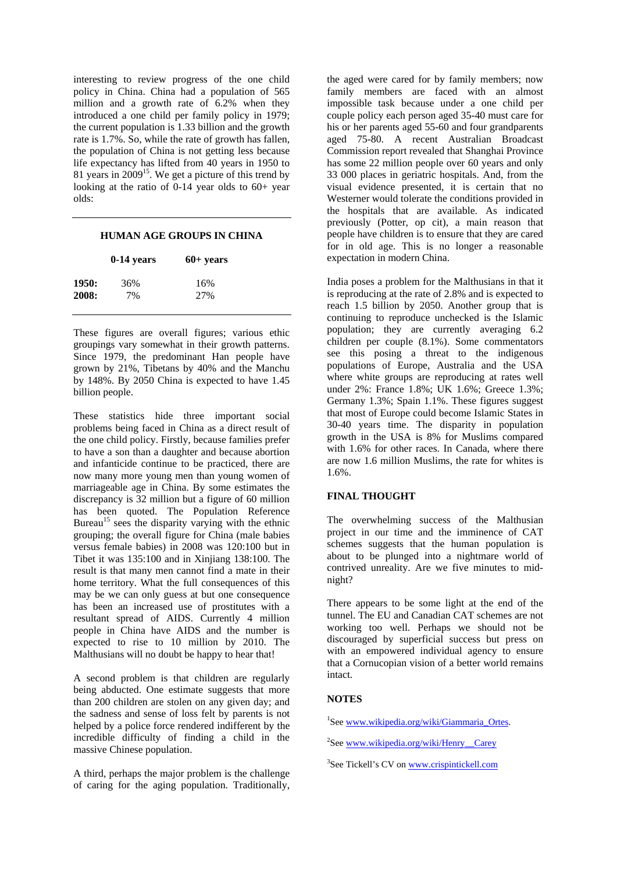interesting to review progress of the one child policy in China. China had a population of 565 million and a growth rate of 6.2% when they introduced a one child per family policy in 1979; the current population is 1.33 billion and the growth rate is 1.7%. So, while the rate of growth has fallen, the population of China is not getting less because life expectancy has lifted from 40 years in 1950 to 81 years in 200915. We get a picture of this trend by looking at the ratio of  $0-14$  year olds to  $60+$  year olds:

#### **HUMAN AGE GROUPS IN CHINA**

|       | $0-14$ years | $60+$ years |
|-------|--------------|-------------|
| 1950: | 36%          | 16%         |
| 2008: | 7%           | 27%         |

These figures are overall figures; various ethic groupings vary somewhat in their growth patterns. Since 1979, the predominant Han people have grown by 21%, Tibetans by 40% and the Manchu by 148%. By 2050 China is expected to have 1.45 billion people.

These statistics hide three important social problems being faced in China as a direct result of the one child policy. Firstly, because families prefer to have a son than a daughter and because abortion and infanticide continue to be practiced, there are now many more young men than young women of marriageable age in China. By some estimates the discrepancy is 32 million but a figure of 60 million has been quoted. The Population Reference Bureau<sup>15</sup> sees the disparity varying with the ethnic grouping; the overall figure for China (male babies versus female babies) in 2008 was 120:100 but in Tibet it was 135:100 and in Xinjiang 138:100. The result is that many men cannot find a mate in their home territory. What the full consequences of this may be we can only guess at but one consequence has been an increased use of prostitutes with a resultant spread of AIDS. Currently 4 million people in China have AIDS and the number is expected to rise to 10 million by 2010. The Malthusians will no doubt be happy to hear that!

A second problem is that children are regularly being abducted. One estimate suggests that more than 200 children are stolen on any given day; and the sadness and sense of loss felt by parents is not helped by a police force rendered indifferent by the incredible difficulty of finding a child in the massive Chinese population.

A third, perhaps the major problem is the challenge of caring for the aging population. Traditionally,

the aged were cared for by family members; now family members are faced with an almost impossible task because under a one child per couple policy each person aged 35-40 must care for his or her parents aged 55-60 and four grandparents aged 75-80. A recent Australian Broadcast Commission report revealed that Shanghai Province has some 22 million people over 60 years and only 33 000 places in geriatric hospitals. And, from the visual evidence presented, it is certain that no Westerner would tolerate the conditions provided in the hospitals that are available. As indicated previously (Potter, op cit), a main reason that people have children is to ensure that they are cared for in old age. This is no longer a reasonable expectation in modern China.

India poses a problem for the Malthusians in that it is reproducing at the rate of 2.8% and is expected to reach 1.5 billion by 2050. Another group that is continuing to reproduce unchecked is the Islamic population; they are currently averaging 6.2 children per couple (8.1%). Some commentators see this posing a threat to the indigenous populations of Europe, Australia and the USA where white groups are reproducing at rates well under 2%: France 1.8%; UK 1.6%; Greece 1.3%; Germany 1.3%; Spain 1.1%. These figures suggest that most of Europe could become Islamic States in 30-40 years time. The disparity in population growth in the USA is 8% for Muslims compared with 1.6% for other races. In Canada, where there are now 1.6 million Muslims, the rate for whites is 1.6%.

### **FINAL THOUGHT**

The overwhelming success of the Malthusian project in our time and the imminence of CAT schemes suggests that the human population is about to be plunged into a nightmare world of contrived unreality. Are we five minutes to midnight?

There appears to be some light at the end of the tunnel. The EU and Canadian CAT schemes are not working too well. Perhaps we should not be discouraged by superficial success but press on with an empowered individual agency to ensure that a Cornucopian vision of a better world remains intact.

### **NOTES**

<sup>1</sup>See www.wikipedia.org/wiki/Giammaria\_Ortes.

<sup>2</sup>See www.wikipedia.org/wiki/Henry Carey

<sup>3</sup>See Tickell's CV on www.crispintickell.com